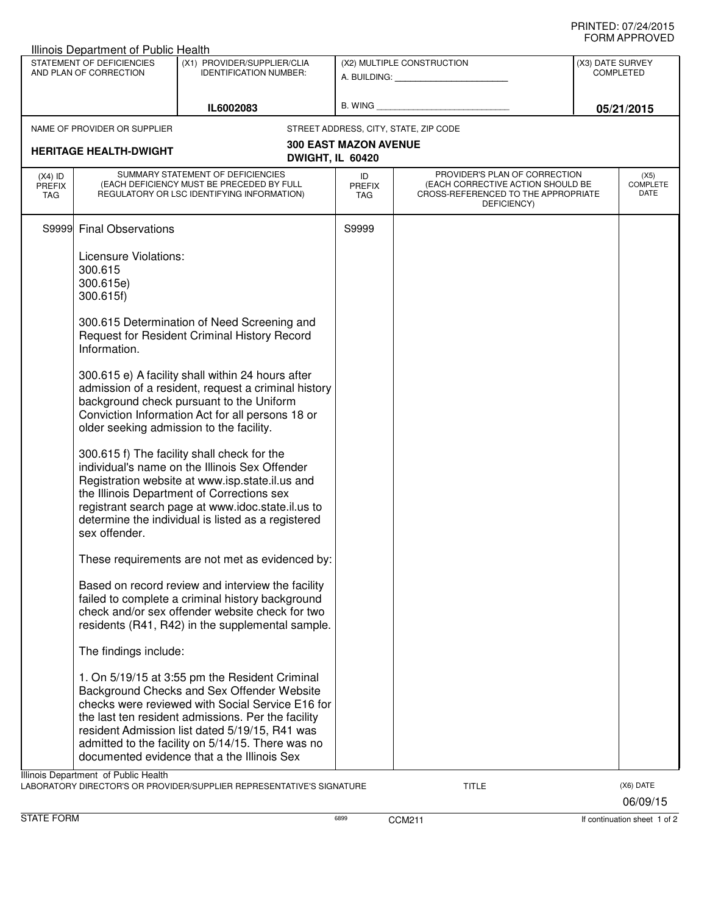## PRINTED: 07/24/2015 FORM APPROVED

|                                                     | Illinois Department of Public Health                                                                                 |                                                                                                                                                                                                                                                                                                                                                                                                                                                                                                                                                                                                                                                                                                                                                                                                                                                                                                                                                                                                                                                                                                                                                                                                                                                      |                                   |                                                                                                                          |                                                    |                                 |
|-----------------------------------------------------|----------------------------------------------------------------------------------------------------------------------|------------------------------------------------------------------------------------------------------------------------------------------------------------------------------------------------------------------------------------------------------------------------------------------------------------------------------------------------------------------------------------------------------------------------------------------------------------------------------------------------------------------------------------------------------------------------------------------------------------------------------------------------------------------------------------------------------------------------------------------------------------------------------------------------------------------------------------------------------------------------------------------------------------------------------------------------------------------------------------------------------------------------------------------------------------------------------------------------------------------------------------------------------------------------------------------------------------------------------------------------------|-----------------------------------|--------------------------------------------------------------------------------------------------------------------------|----------------------------------------------------|---------------------------------|
| STATEMENT OF DEFICIENCIES<br>AND PLAN OF CORRECTION |                                                                                                                      | (X1) PROVIDER/SUPPLIER/CLIA<br><b>IDENTIFICATION NUMBER:</b>                                                                                                                                                                                                                                                                                                                                                                                                                                                                                                                                                                                                                                                                                                                                                                                                                                                                                                                                                                                                                                                                                                                                                                                         | (X2) MULTIPLE CONSTRUCTION        |                                                                                                                          | (X3) DATE SURVEY<br><b>COMPLETED</b><br>05/21/2015 |                                 |
|                                                     |                                                                                                                      | IL6002083                                                                                                                                                                                                                                                                                                                                                                                                                                                                                                                                                                                                                                                                                                                                                                                                                                                                                                                                                                                                                                                                                                                                                                                                                                            |                                   |                                                                                                                          |                                                    |                                 |
|                                                     | NAME OF PROVIDER OR SUPPLIER<br><b>HERITAGE HEALTH-DWIGHT</b>                                                        | DWIGHT, IL 60420                                                                                                                                                                                                                                                                                                                                                                                                                                                                                                                                                                                                                                                                                                                                                                                                                                                                                                                                                                                                                                                                                                                                                                                                                                     | <b>300 EAST MAZON AVENUE</b>      | STREET ADDRESS, CITY, STATE, ZIP CODE                                                                                    |                                                    |                                 |
| $(X4)$ ID<br><b>PREFIX</b><br><b>TAG</b>            |                                                                                                                      | SUMMARY STATEMENT OF DEFICIENCIES<br>(EACH DEFICIENCY MUST BE PRECEDED BY FULL<br>REGULATORY OR LSC IDENTIFYING INFORMATION)                                                                                                                                                                                                                                                                                                                                                                                                                                                                                                                                                                                                                                                                                                                                                                                                                                                                                                                                                                                                                                                                                                                         | ID<br><b>PREFIX</b><br><b>TAG</b> | PROVIDER'S PLAN OF CORRECTION<br>(EACH CORRECTIVE ACTION SHOULD BE<br>CROSS-REFERENCED TO THE APPROPRIATE<br>DEFICIENCY) |                                                    | (X5)<br><b>COMPLETE</b><br>DATE |
|                                                     | S9999 Final Observations                                                                                             |                                                                                                                                                                                                                                                                                                                                                                                                                                                                                                                                                                                                                                                                                                                                                                                                                                                                                                                                                                                                                                                                                                                                                                                                                                                      | S9999                             |                                                                                                                          |                                                    |                                 |
|                                                     | Licensure Violations:<br>300.615<br>300.615e)<br>300.615f)<br>Information.<br>sex offender.<br>The findings include: | 300.615 Determination of Need Screening and<br>Request for Resident Criminal History Record<br>300.615 e) A facility shall within 24 hours after<br>admission of a resident, request a criminal history<br>background check pursuant to the Uniform<br>Conviction Information Act for all persons 18 or<br>older seeking admission to the facility.<br>300.615 f) The facility shall check for the<br>individual's name on the Illinois Sex Offender<br>Registration website at www.isp.state.il.us and<br>the Illinois Department of Corrections sex<br>registrant search page at www.idoc.state.il.us to<br>determine the individual is listed as a registered<br>These requirements are not met as evidenced by:<br>Based on record review and interview the facility<br>failed to complete a criminal history background<br>check and/or sex offender website check for two<br>residents (R41, R42) in the supplemental sample.<br>1. On 5/19/15 at 3:55 pm the Resident Criminal<br>Background Checks and Sex Offender Website<br>checks were reviewed with Social Service E16 for<br>the last ten resident admissions. Per the facility<br>resident Admission list dated 5/19/15, R41 was<br>admitted to the facility on 5/14/15. There was no |                                   |                                                                                                                          |                                                    |                                 |
|                                                     | Illinois Department of Public Health                                                                                 | documented evidence that a the Illinois Sex                                                                                                                                                                                                                                                                                                                                                                                                                                                                                                                                                                                                                                                                                                                                                                                                                                                                                                                                                                                                                                                                                                                                                                                                          |                                   |                                                                                                                          |                                                    |                                 |
|                                                     |                                                                                                                      | LABORATORY DIRECTOR'S OR PROVIDER/SUPPLIER REPRESENTATIVE'S SIGNATURE                                                                                                                                                                                                                                                                                                                                                                                                                                                                                                                                                                                                                                                                                                                                                                                                                                                                                                                                                                                                                                                                                                                                                                                |                                   | TITLE                                                                                                                    |                                                    | (X6) DATE                       |

06/09/15